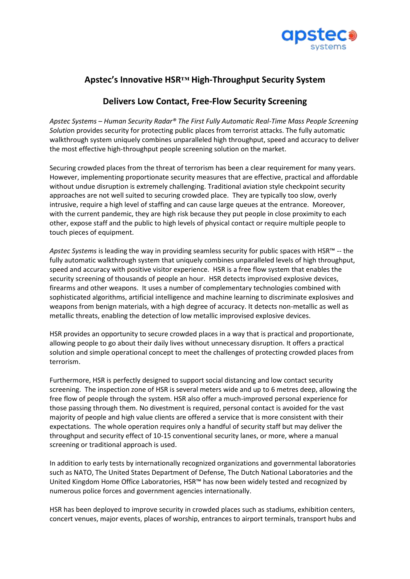

## **Apstec's Innovative HSR™ High-Throughput Security System**

## **Delivers Low Contact, Free-Flow Security Screening**

*Apstec Systems – Human Security Radar® The First Fully Automatic Real-Time Mass People Screening Solutio*n provides security for protecting public places from terrorist attacks. The fully automatic walkthrough system uniquely combines unparalleled high throughput, speed and accuracy to deliver the most effective high-throughput people screening solution on the market.

Securing crowded places from the threat of terrorism has been a clear requirement for many years. However, implementing proportionate security measures that are effective, practical and affordable without undue disruption is extremely challenging. Traditional aviation style checkpoint security approaches are not well suited to securing crowded place. They are typically too slow, overly intrusive, require a high level of staffing and can cause large queues at the entrance. Moreover, with the current pandemic, they are high risk because they put people in close proximity to each other, expose staff and the public to high levels of physical contact or require multiple people to touch pieces of equipment.

*Apstec Systems* is leading the way in providing seamless security for public spaces with HSR™ -- the fully automatic walkthrough system that uniquely combines unparalleled levels of high throughput, speed and accuracy with positive visitor experience. HSR is a free flow system that enables the security screening of thousands of people an hour. HSR detects improvised explosive devices, firearms and other weapons. It uses a number of complementary technologies combined with sophisticated algorithms, artificial intelligence and machine learning to discriminate explosives and weapons from benign materials, with a high degree of accuracy. It detects non-metallic as well as metallic threats, enabling the detection of low metallic improvised explosive devices.

HSR provides an opportunity to secure crowded places in a way that is practical and proportionate, allowing people to go about their daily lives without unnecessary disruption. It offers a practical solution and simple operational concept to meet the challenges of protecting crowded places from terrorism.

Furthermore, HSR is perfectly designed to support social distancing and low contact security screening. The inspection zone of HSR is several meters wide and up to 6 metres deep, allowing the free flow of people through the system. HSR also offer a much-improved personal experience for those passing through them. No divestment is required, personal contact is avoided for the vast majority of people and high value clients are offered a service that is more consistent with their expectations. The whole operation requires only a handful of security staff but may deliver the throughput and security effect of 10-15 conventional security lanes, or more, where a manual screening or traditional approach is used.

In addition to early tests by internationally recognized organizations and governmental laboratories such as NATO, The United States Department of Defense, The Dutch National Laboratories and the United Kingdom Home Office Laboratories, HSR™ has now been widely tested and recognized by numerous police forces and government agencies internationally.

HSR has been deployed to improve security in crowded places such as stadiums, exhibition centers, concert venues, major events, places of worship, entrances to airport terminals, transport hubs and